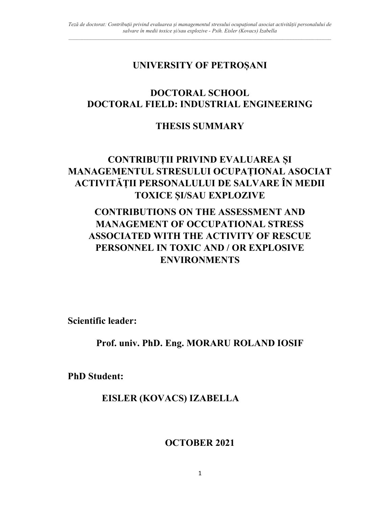## UNIVERSITY OF PETROȘANI

## DOCTORAL SCHOOL DOCTORAL FIELD: INDUSTRIAL ENGINEERING

## THESIS SUMMARY

# CONTRIBUȚII PRIVIND EVALUAREA ȘI MANAGEMENTUL STRESULUI OCUPAȚIONAL ASOCIAT ACTIVITĂȚII PERSONALULUI DE SALVARE ÎN MEDII TOXICE ȘI/SAU EXPLOZIVE

# CONTRIBUTIONS ON THE ASSESSMENT AND MANAGEMENT OF OCCUPATIONAL STRESS ASSOCIATED WITH THE ACTIVITY OF RESCUE PERSONNEL IN TOXIC AND / OR EXPLOSIVE ENVIRONMENTS

Scientific leader:

Prof. univ. PhD. Eng. MORARU ROLAND IOSIF

PhD Student:

EISLER (KOVACS) IZABELLA

OCTOBER 2021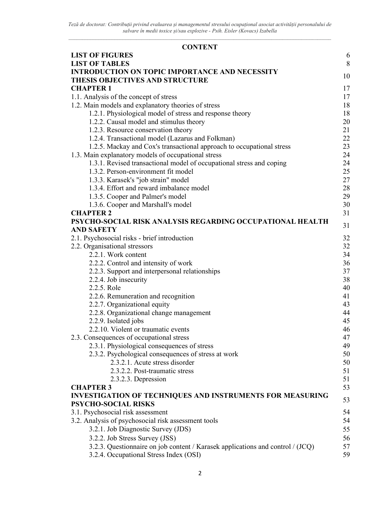| <b>CONTENT</b>                                                                 |    |
|--------------------------------------------------------------------------------|----|
| <b>LIST OF FIGURES</b>                                                         | 6  |
| <b>LIST OF TABLES</b>                                                          | 8  |
| <b>INTRODUCTION ON TOPIC IMPORTANCE AND NECESSITY</b>                          |    |
| THESIS OBJECTIVES AND STRUCTURE                                                | 10 |
| <b>CHAPTER 1</b>                                                               | 17 |
| 1.1. Analysis of the concept of stress                                         | 17 |
| 1.2. Main models and explanatory theories of stress                            | 18 |
| 1.2.1. Physiological model of stress and response theory                       | 18 |
| 1.2.2. Causal model and stimulus theory                                        | 20 |
| 1.2.3. Resource conservation theory                                            | 21 |
| 1.2.4. Transactional model (Lazarus and Folkman)                               | 22 |
| 1.2.5. Mackay and Cox's transactional approach to occupational stress          | 23 |
| 1.3. Main explanatory models of occupational stress                            | 24 |
| 1.3.1. Revised transactional model of occupational stress and coping           | 24 |
| 1.3.2. Person-environment fit model                                            | 25 |
| 1.3.3. Karasek's "job strain" model                                            | 27 |
| 1.3.4. Effort and reward imbalance model                                       | 28 |
| 1.3.5. Cooper and Palmer's model                                               | 29 |
| 1.3.6. Cooper and Marshall's model                                             | 30 |
| <b>CHAPTER 2</b>                                                               | 31 |
| PSYCHO-SOCIAL RISK ANALYSIS REGARDING OCCUPATIONAL HEALTH                      | 31 |
| <b>AND SAFETY</b>                                                              |    |
| 2.1. Psychosocial risks - brief introduction                                   | 32 |
| 2.2. Organisational stressors                                                  | 32 |
| 2.2.1. Work content                                                            | 34 |
| 2.2.2. Control and intensity of work                                           | 36 |
| 2.2.3. Support and interpersonal relationships                                 | 37 |
| 2.2.4. Job insecurity                                                          | 38 |
| 2.2.5. Role                                                                    | 40 |
| 2.2.6. Remuneration and recognition                                            | 41 |
| 2.2.7. Organizational equity                                                   | 43 |
| 2.2.8. Organizational change management                                        | 44 |
| 2.2.9. Isolated jobs                                                           | 45 |
| 2.2.10. Violent or traumatic events                                            | 46 |
| 2.3. Consequences of occupational stress                                       | 47 |
| 2.3.1. Physiological consequences of stress                                    | 49 |
| 2.3.2. Psychological consequences of stress at work                            | 50 |
| 2.3.2.1. Acute stress disorder                                                 | 50 |
| 2.3.2.2. Post-traumatic stress                                                 | 51 |
| 2.3.2.3. Depression                                                            | 51 |
| <b>CHAPTER 3</b>                                                               | 53 |
| <b>INVESTIGATION OF TECHNIQUES AND INSTRUMENTS FOR MEASURING</b>               |    |
| PSYCHO-SOCIAL RISKS                                                            | 53 |
| 3.1. Psychosocial risk assessment                                              | 54 |
| 3.2. Analysis of psychosocial risk assessment tools                            | 54 |
| 3.2.1. Job Diagnostic Survey (JDS)                                             | 55 |
| 3.2.2. Job Stress Survey (JSS)                                                 | 56 |
| 3.2.3. Questionnaire on job content / Karasek applications and control / (JCQ) | 57 |
| 3.2.4. Occupational Stress Index (OSI)                                         | 59 |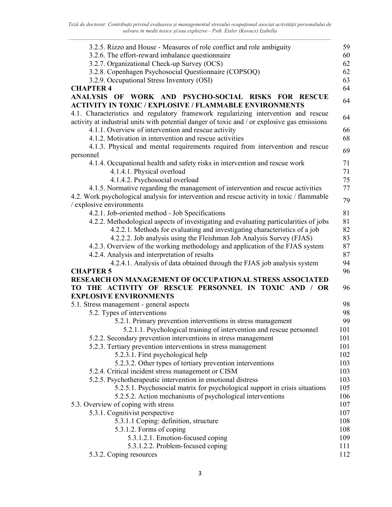Teză de doctorat: Contribuții privind evaluarea și managementul stresului ocupațional asociat activității personalului de salvare în medii toxice și/sau explozive - Psih. Eisler (Kovacs) Izabella

| 3.2.5. Rizzo and House - Measures of role conflict and role ambiguity                                                                               | 59  |
|-----------------------------------------------------------------------------------------------------------------------------------------------------|-----|
| 3.2.6. The effort-reward imbalance questionnaire                                                                                                    | 60  |
| 3.2.7. Organizational Check-up Survey (OCS)                                                                                                         | 62  |
| 3.2.8. Copenhagen Psychosocial Questionnaire (COPSOQ)                                                                                               | 62  |
| 3.2.9. Occupational Stress Inventory (OSI)                                                                                                          | 63  |
| <b>CHAPTER 4</b>                                                                                                                                    | 64  |
| WORK AND PSYCHO-SOCIAL RISKS FOR RESCUE<br><b>ANALYSIS OF</b><br><b>ACTIVITY IN TOXIC / EXPLOSIVE / FLAMMABLE ENVIRONMENTS</b>                      | 64  |
| 4.1. Characteristics and regulatory framework regularizing intervention and rescue                                                                  | 64  |
| activity at industrial units with potential danger of toxic and / or explosive gas emissions<br>4.1.1. Overview of intervention and rescue activity | 66  |
| 4.1.2. Motivation in intervention and rescue activities                                                                                             | 68  |
| 4.1.3. Physical and mental requirements required from intervention and rescue                                                                       |     |
| personnel                                                                                                                                           | 69  |
| 4.1.4. Occupational health and safety risks in intervention and rescue work                                                                         | 71  |
| 4.1.4.1. Physical overload                                                                                                                          | 71  |
| 4.1.4.2. Psychosocial overload                                                                                                                      | 75  |
| 4.1.5. Normative regarding the management of intervention and rescue activities                                                                     | 77  |
| 4.2. Work psychological analysis for intervention and rescue activity in toxic / flammable                                                          |     |
| / explosive environments                                                                                                                            | 79  |
| 4.2.1. Job-oriented method - Job Specifications                                                                                                     | 81  |
| 4.2.2. Methodological aspects of investigating and evaluating particularities of jobs                                                               | 81  |
| 4.2.2.1. Methods for evaluating and investigating characteristics of a job                                                                          | 82  |
| 4.2.2.2. Job analysis using the Fleishman Job Analysis Survey (FJAS)                                                                                | 83  |
| 4.2.3. Overview of the working methodology and application of the FJAS system                                                                       | 87  |
| 4.2.4. Analysis and interpretation of results                                                                                                       | 87  |
| 4.2.4.1. Analysis of data obtained through the FJAS job analysis system                                                                             | 94  |
| <b>CHAPTER 5</b>                                                                                                                                    | 96  |
| RESEARCH ON MANAGEMENT OF OCCUPATIONAL STRESS ASSOCIATED                                                                                            |     |
| TO THE ACTIVITY OF RESCUE PERSONNEL IN TOXIC AND / OR                                                                                               | 96  |
| <b>EXPLOSIVE ENVIRONMENTS</b>                                                                                                                       |     |
| 5.1. Stress management - general aspects                                                                                                            | 98  |
| 5.2. Types of interventions                                                                                                                         | 98  |
| 5.2.1. Primary prevention interventions in stress management                                                                                        | 99  |
| 5.2.1.1. Psychological training of intervention and rescue personnel                                                                                | 101 |
| 5.2.2. Secondary prevention interventions in stress management                                                                                      | 101 |
| 5.2.3. Tertiary prevention interventions in stress management                                                                                       | 101 |
| 5.2.3.1. First psychological help                                                                                                                   | 102 |
| 5.2.3.2. Other types of tertiary prevention interventions                                                                                           | 103 |
| 5.2.4. Critical incident stress management or CISM                                                                                                  | 103 |
| 5.2.5. Psychotherapeutic intervention in emotional distress                                                                                         | 103 |
| 5.2.5.1. Psychosocial matrix for psychological support in crisis situations                                                                         | 105 |
| 5.2.5.2. Action mechanisms of psychological interventions                                                                                           | 106 |
| 5.3. Overview of coping with stress                                                                                                                 | 107 |
| 5.3.1. Cognitivist perspective                                                                                                                      | 107 |
| 5.3.1.1 Coping: definition, structure                                                                                                               | 108 |
| 5.3.1.2. Forms of coping                                                                                                                            | 108 |
| 5.3.1.2.1. Emotion-focused coping                                                                                                                   | 109 |
| 5.3.1.2.2. Problem-focused coping                                                                                                                   | 111 |
| 5.3.2. Coping resources                                                                                                                             | 112 |
|                                                                                                                                                     |     |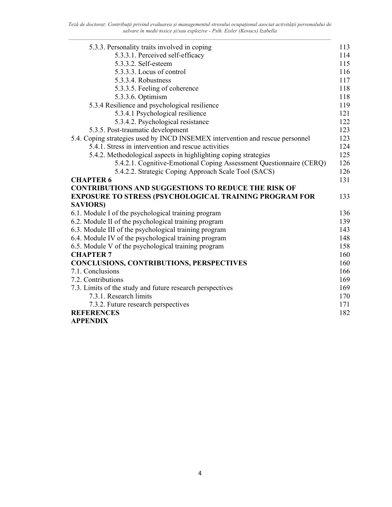Teză de doctorat: Contribuții privind evaluarea și managementul stresului ocupațional asociat activității personalului de salvare în medii toxice și/sau explozive - Psih. Eisler (Kovacs) Izabella

| 5.3.3. Personality traits involved in coping                                  | 113 |
|-------------------------------------------------------------------------------|-----|
| 5.3.3.1. Perceived self-efficacy                                              | 114 |
| 5.3.3.2. Self-esteem                                                          | 115 |
| 5.3.3.3. Locus of control                                                     | 116 |
| 5.3.3.4. Robustness                                                           | 117 |
| 5.3.3.5. Feeling of coherence                                                 | 118 |
| 5.3.3.6. Optimism                                                             | 118 |
| 5.3.4 Resilience and psychological resilience                                 | 119 |
| 5.3.4.1 Psychological resilience                                              | 121 |
| 5.3.4.2. Psychological resistance                                             | 122 |
| 5.3.5. Post-traumatic development                                             | 123 |
| 5.4. Coping strategies used by INCD INSEMEX intervention and rescue personnel | 123 |
| 5.4.1. Stress in intervention and rescue activities                           | 124 |
| 5.4.2. Methodological aspects in highlighting coping strategies               | 125 |
| 5.4.2.1. Cognitive-Emotional Coping Assessment Questionnaire (CERQ)           | 126 |
| 5.4.2.2. Strategic Coping Approach Scale Tool (SACS)                          | 126 |
| <b>CHAPTER 6</b>                                                              | 131 |
| <b>CONTRIBUTIONS AND SUGGESTIONS TO REDUCE THE RISK OF</b>                    |     |
| <b>EXPOSURE TO STRESS (PSYCHOLOGICAL TRAINING PROGRAM FOR</b>                 | 133 |
| <b>SAVIORS</b> )                                                              |     |
| 6.1. Module I of the psychological training program                           | 136 |
| 6.2. Module II of the psychological training program                          | 139 |
| 6.3. Module III of the psychological training program                         | 143 |
| 6.4. Module IV of the psychological training program                          | 148 |
| 6.5. Module V of the psychological training program                           | 158 |
| <b>CHAPTER 7</b>                                                              | 160 |
| CONCLUSIONS, CONTRIBUTIONS, PERSPECTIVES                                      | 160 |
| 7.1. Conclusions                                                              | 166 |
| 7.2. Contributions                                                            | 169 |
| 7.3. Limits of the study and future research perspectives                     | 169 |
| 7.3.1. Research limits                                                        | 170 |
| 7.3.2. Future research perspectives                                           | 171 |
| <b>REFERENCES</b>                                                             | 182 |
| A PPFNDIY                                                                     |     |

#### APPENDIX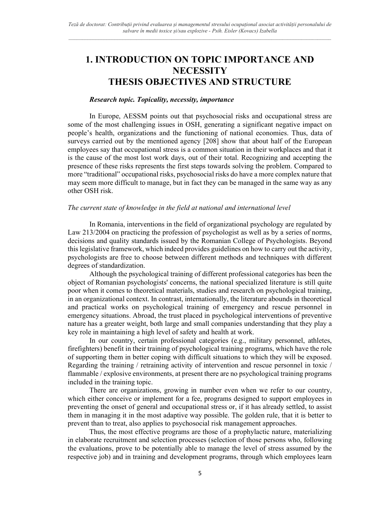## 1. INTRODUCTION ON TOPIC IMPORTANCE AND **NECESSITY** THESIS OBJECTIVES AND STRUCTURE

#### Research topic. Topicality, necessity, importance

In Europe, AESSM points out that psychosocial risks and occupational stress are some of the most challenging issues in OSH, generating a significant negative impact on people's health, organizations and the functioning of national economies. Thus, data of surveys carried out by the mentioned agency [208] show that about half of the European employees say that occupational stress is a common situation in their workplaces and that it is the cause of the most lost work days, out of their total. Recognizing and accepting the presence of these risks represents the first steps towards solving the problem. Compared to more "traditional" occupational risks, psychosocial risks do have a more complex nature that may seem more difficult to manage, but in fact they can be managed in the same way as any other OSH risk.

#### The current state of knowledge in the field at national and international level

In Romania, interventions in the field of organizational psychology are regulated by Law 213/2004 on practicing the profession of psychologist as well as by a series of norms, decisions and quality standards issued by the Romanian College of Psychologists. Beyond this legislative framework, which indeed provides guidelines on how to carry out the activity, psychologists are free to choose between different methods and techniques with different degrees of standardization.

Although the psychological training of different professional categories has been the object of Romanian psychologists' concerns, the national specialized literature is still quite poor when it comes to theoretical materials, studies and research on psychological training, in an organizational context. In contrast, internationally, the literature abounds in theoretical and practical works on psychological training of emergency and rescue personnel in emergency situations. Abroad, the trust placed in psychological interventions of preventive nature has a greater weight, both large and small companies understanding that they play a key role in maintaining a high level of safety and health at work.

In our country, certain professional categories (e.g., military personnel, athletes, firefighters) benefit in their training of psychological training programs, which have the role of supporting them in better coping with difficult situations to which they will be exposed. Regarding the training / retraining activity of intervention and rescue personnel in toxic / flammable / explosive environments, at present there are no psychological training programs included in the training topic.

There are organizations, growing in number even when we refer to our country, which either conceive or implement for a fee, programs designed to support employees in preventing the onset of general and occupational stress or, if it has already settled, to assist them in managing it in the most adaptive way possible. The golden rule, that it is better to prevent than to treat, also applies to psychosocial risk management approaches.

Thus, the most effective programs are those of a prophylactic nature, materializing in elaborate recruitment and selection processes (selection of those persons who, following the evaluations, prove to be potentially able to manage the level of stress assumed by the respective job) and in training and development programs, through which employees learn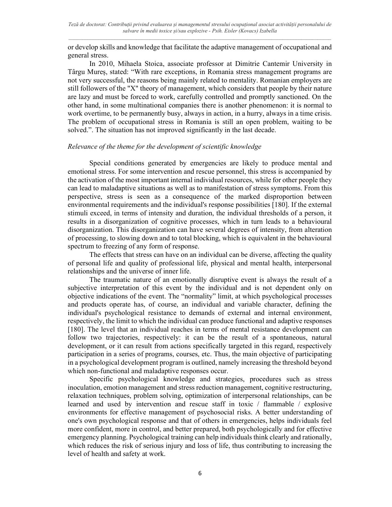or develop skills and knowledge that facilitate the adaptive management of occupational and general stress.

In 2010, Mihaela Stoica, associate professor at Dimitrie Cantemir University in Târgu Mureș, stated: "With rare exceptions, in Romania stress management programs are not very successful, the reasons being mainly related to mentality. Romanian employers are still followers of the "X" theory of management, which considers that people by their nature are lazy and must be forced to work, carefully controlled and promptly sanctioned. On the other hand, in some multinational companies there is another phenomenon: it is normal to work overtime, to be permanently busy, always in action, in a hurry, always in a time crisis. The problem of occupational stress in Romania is still an open problem, waiting to be solved.". The situation has not improved significantly in the last decade.

#### Relevance of the theme for the development of scientific knowledge

Special conditions generated by emergencies are likely to produce mental and emotional stress. For some intervention and rescue personnel, this stress is accompanied by the activation of the most important internal individual resources, while for other people they can lead to maladaptive situations as well as to manifestation of stress symptoms. From this perspective, stress is seen as a consequence of the marked disproportion between environmental requirements and the individual's response possibilities [180]. If the external stimuli exceed, in terms of intensity and duration, the individual thresholds of a person, it results in a disorganization of cognitive processes, which in turn leads to a behavioural disorganization. This disorganization can have several degrees of intensity, from alteration of processing, to slowing down and to total blocking, which is equivalent in the behavioural spectrum to freezing of any form of response.

The effects that stress can have on an individual can be diverse, affecting the quality of personal life and quality of professional life, physical and mental health, interpersonal relationships and the universe of inner life.

The traumatic nature of an emotionally disruptive event is always the result of a subjective interpretation of this event by the individual and is not dependent only on objective indications of the event. The "normality" limit, at which psychological processes and products operate has, of course, an individual and variable character, defining the individual's psychological resistance to demands of external and internal environment, respectively, the limit to which the individual can produce functional and adaptive responses [180]. The level that an individual reaches in terms of mental resistance development can follow two trajectories, respectively: it can be the result of a spontaneous, natural development, or it can result from actions specifically targeted in this regard, respectively participation in a series of programs, courses, etc. Thus, the main objective of participating in a psychological development program is outlined, namely increasing the threshold beyond which non-functional and maladaptive responses occur.

Specific psychological knowledge and strategies, procedures such as stress inoculation, emotion management and stress reduction management, cognitive restructuring, relaxation techniques, problem solving, optimization of interpersonal relationships, can be learned and used by intervention and rescue staff in toxic / flammable / explosive environments for effective management of psychosocial risks. A better understanding of one's own psychological response and that of others in emergencies, helps individuals feel more confident, more in control, and better prepared, both psychologically and for effective emergency planning. Psychological training can help individuals think clearly and rationally, which reduces the risk of serious injury and loss of life, thus contributing to increasing the level of health and safety at work.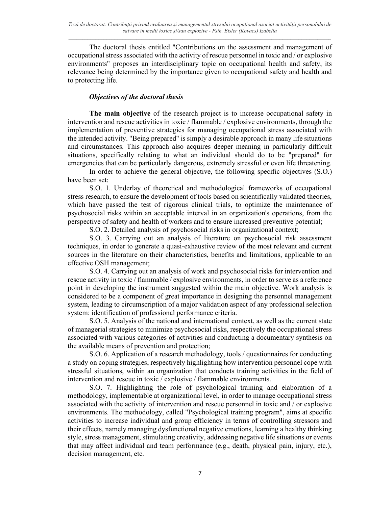The doctoral thesis entitled "Contributions on the assessment and management of occupational stress associated with the activity of rescue personnel in toxic and / or explosive environments" proposes an interdisciplinary topic on occupational health and safety, its relevance being determined by the importance given to occupational safety and health and to protecting life.

### Objectives of the doctoral thesis

The main objective of the research project is to increase occupational safety in intervention and rescue activities in toxic / flammable / explosive environments, through the implementation of preventive strategies for managing occupational stress associated with the intended activity. "Being prepared" is simply a desirable approach in many life situations and circumstances. This approach also acquires deeper meaning in particularly difficult situations, specifically relating to what an individual should do to be "prepared" for emergencies that can be particularly dangerous, extremely stressful or even life threatening.

In order to achieve the general objective, the following specific objectives (S.O.) have been set:

S.O. 1. Underlay of theoretical and methodological frameworks of occupational stress research, to ensure the development of tools based on scientifically validated theories, which have passed the test of rigorous clinical trials, to optimize the maintenance of psychosocial risks within an acceptable interval in an organization's operations, from the perspective of safety and health of workers and to ensure increased preventive potential;

S.O. 2. Detailed analysis of psychosocial risks in organizational context;

S.O. 3. Carrying out an analysis of literature on psychosocial risk assessment techniques, in order to generate a quasi-exhaustive review of the most relevant and current sources in the literature on their characteristics, benefits and limitations, applicable to an effective OSH management;

S.O. 4. Carrying out an analysis of work and psychosocial risks for intervention and rescue activity in toxic / flammable / explosive environments, in order to serve as a reference point in developing the instrument suggested within the main objective. Work analysis is considered to be a component of great importance in designing the personnel management system, leading to circumscription of a major validation aspect of any professional selection system: identification of professional performance criteria.

S.O. 5. Analysis of the national and international context, as well as the current state of managerial strategies to minimize psychosocial risks, respectively the occupational stress associated with various categories of activities and conducting a documentary synthesis on the available means of prevention and protection;

S.O. 6. Application of a research methodology, tools / questionnaires for conducting a study on coping strategies, respectively highlighting how intervention personnel cope with stressful situations, within an organization that conducts training activities in the field of intervention and rescue in toxic / explosive / flammable environments.

S.O. 7. Highlighting the role of psychological training and elaboration of a methodology, implementable at organizational level, in order to manage occupational stress associated with the activity of intervention and rescue personnel in toxic and / or explosive environments. The methodology, called "Psychological training program", aims at specific activities to increase individual and group efficiency in terms of controlling stressors and their effects, namely managing dysfunctional negative emotions, learning a healthy thinking style, stress management, stimulating creativity, addressing negative life situations or events that may affect individual and team performance (e.g., death, physical pain, injury, etc.), decision management, etc.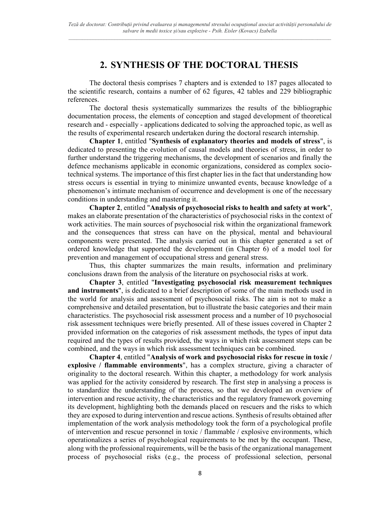### 2. SYNTHESIS OF THE DOCTORAL THESIS

The doctoral thesis comprises 7 chapters and is extended to 187 pages allocated to the scientific research, contains a number of 62 figures, 42 tables and 229 bibliographic references.

The doctoral thesis systematically summarizes the results of the bibliographic documentation process, the elements of conception and staged development of theoretical research and - especially - applications dedicated to solving the approached topic, as well as the results of experimental research undertaken during the doctoral research internship.

Chapter 1, entitled "Synthesis of explanatory theories and models of stress", is dedicated to presenting the evolution of causal models and theories of stress, in order to further understand the triggering mechanisms, the development of scenarios and finally the defence mechanisms applicable in economic organizations, considered as complex sociotechnical systems. The importance of this first chapter lies in the fact that understanding how stress occurs is essential in trying to minimize unwanted events, because knowledge of a phenomenon's intimate mechanism of occurrence and development is one of the necessary conditions in understanding and mastering it.

Chapter 2, entitled "Analysis of psychosocial risks to health and safety at work", makes an elaborate presentation of the characteristics of psychosocial risks in the context of work activities. The main sources of psychosocial risk within the organizational framework and the consequences that stress can have on the physical, mental and behavioural components were presented. The analysis carried out in this chapter generated a set of ordered knowledge that supported the development (in Chapter 6) of a model tool for prevention and management of occupational stress and general stress.

Thus, this chapter summarizes the main results, information and preliminary conclusions drawn from the analysis of the literature on psychosocial risks at work.

Chapter 3, entitled "Investigating psychosocial risk measurement techniques and instruments", is dedicated to a brief description of some of the main methods used in the world for analysis and assessment of psychosocial risks. The aim is not to make a comprehensive and detailed presentation, but to illustrate the basic categories and their main characteristics. The psychosocial risk assessment process and a number of 10 psychosocial risk assessment techniques were briefly presented. All of these issues covered in Chapter 2 provided information on the categories of risk assessment methods, the types of input data required and the types of results provided, the ways in which risk assessment steps can be combined, and the ways in which risk assessment techniques can be combined.

Chapter 4, entitled "Analysis of work and psychosocial risks for rescue in toxic / explosive / flammable environments", has a complex structure, giving a character of originality to the doctoral research. Within this chapter, a methodology for work analysis was applied for the activity considered by research. The first step in analysing a process is to standardize the understanding of the process, so that we developed an overview of intervention and rescue activity, the characteristics and the regulatory framework governing its development, highlighting both the demands placed on rescuers and the risks to which they are exposed to during intervention and rescue actions. Synthesis of results obtained after implementation of the work analysis methodology took the form of a psychological profile of intervention and rescue personnel in toxic / flammable / explosive environments, which operationalizes a series of psychological requirements to be met by the occupant. These, along with the professional requirements, will be the basis of the organizational management process of psychosocial risks (e.g., the process of professional selection, personal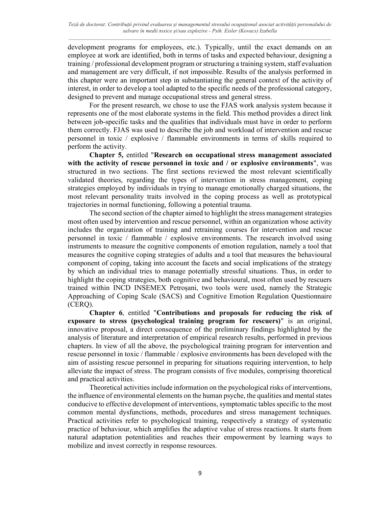development programs for employees, etc.). Typically, until the exact demands on an employee at work are identified, both in terms of tasks and expected behaviour, designing a training / professional development program or structuring a training system, staff evaluation and management are very difficult, if not impossible. Results of the analysis performed in this chapter were an important step in substantiating the general context of the activity of interest, in order to develop a tool adapted to the specific needs of the professional category, designed to prevent and manage occupational stress and general stress.

For the present research, we chose to use the FJAS work analysis system because it represents one of the most elaborate systems in the field. This method provides a direct link between job-specific tasks and the qualities that individuals must have in order to perform them correctly. FJAS was used to describe the job and workload of intervention and rescue personnel in toxic / explosive / flammable environments in terms of skills required to perform the activity.

Chapter 5, entitled "Research on occupational stress management associated with the activity of rescue personnel in toxic and  $\ell$  or explosive environments", was structured in two sections. The first sections reviewed the most relevant scientifically validated theories, regarding the types of intervention in stress management, coping strategies employed by individuals in trying to manage emotionally charged situations, the most relevant personality traits involved in the coping process as well as prototypical trajectories in normal functioning, following a potential trauma.

The second section of the chapter aimed to highlight the stress management strategies most often used by intervention and rescue personnel, within an organization whose activity includes the organization of training and retraining courses for intervention and rescue personnel in toxic / flammable / explosive environments. The research involved using instruments to measure the cognitive components of emotion regulation, namely a tool that measures the cognitive coping strategies of adults and a tool that measures the behavioural component of coping, taking into account the facets and social implications of the strategy by which an individual tries to manage potentially stressful situations. Thus, in order to highlight the coping strategies, both cognitive and behavioural, most often used by rescuers trained within INCD INSEMEX Petroșani, two tools were used, namely the Strategic Approaching of Coping Scale (SACS) and Cognitive Emotion Regulation Questionnaire (CERQ).

Chapter 6, entitled "Contributions and proposals for reducing the risk of exposure to stress (psychological training program for rescuers)" is an original, innovative proposal, a direct consequence of the preliminary findings highlighted by the analysis of literature and interpretation of empirical research results, performed in previous chapters. In view of all the above, the psychological training program for intervention and rescue personnel in toxic / flammable / explosive environments has been developed with the aim of assisting rescue personnel in preparing for situations requiring intervention, to help alleviate the impact of stress. The program consists of five modules, comprising theoretical and practical activities.

Theoretical activities include information on the psychological risks of interventions, the influence of environmental elements on the human psyche, the qualities and mental states conducive to effective development of interventions, symptomatic tables specific to the most common mental dysfunctions, methods, procedures and stress management techniques. Practical activities refer to psychological training, respectively a strategy of systematic practice of behaviour, which amplifies the adaptive value of stress reactions. It starts from natural adaptation potentialities and reaches their empowerment by learning ways to mobilize and invest correctly in response resources.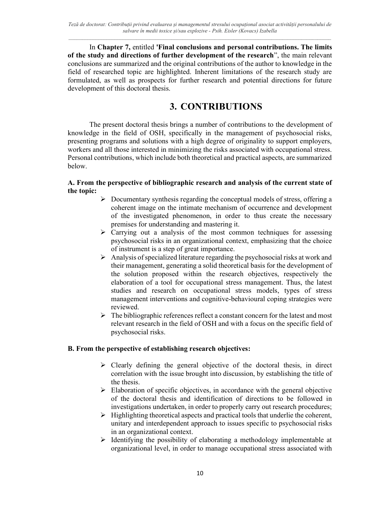In Chapter 7, entitled 'Final conclusions and personal contributions. The limits of the study and directions of further development of the research", the main relevant conclusions are summarized and the original contributions of the author to knowledge in the field of researched topic are highlighted. Inherent limitations of the research study are formulated, as well as prospects for further research and potential directions for future development of this doctoral thesis.

## 3. CONTRIBUTIONS

The present doctoral thesis brings a number of contributions to the development of knowledge in the field of OSH, specifically in the management of psychosocial risks, presenting programs and solutions with a high degree of originality to support employers, workers and all those interested in minimizing the risks associated with occupational stress. Personal contributions, which include both theoretical and practical aspects, are summarized below.

### A. From the perspective of bibliographic research and analysis of the current state of the topic:

- $\triangleright$  Documentary synthesis regarding the conceptual models of stress, offering a coherent image on the intimate mechanism of occurrence and development of the investigated phenomenon, in order to thus create the necessary premises for understanding and mastering it.
- $\triangleright$  Carrying out a analysis of the most common techniques for assessing psychosocial risks in an organizational context, emphasizing that the choice of instrument is a step of great importance.
- $\triangleright$  Analysis of specialized literature regarding the psychosocial risks at work and their management, generating a solid theoretical basis for the development of the solution proposed within the research objectives, respectively the elaboration of a tool for occupational stress management. Thus, the latest studies and research on occupational stress models, types of stress management interventions and cognitive-behavioural coping strategies were reviewed.
- $\triangleright$  The bibliographic references reflect a constant concern for the latest and most relevant research in the field of OSH and with a focus on the specific field of psychosocial risks.

### B. From the perspective of establishing research objectives:

- $\triangleright$  Clearly defining the general objective of the doctoral thesis, in direct correlation with the issue brought into discussion, by establishing the title of the thesis.
- $\triangleright$  Elaboration of specific objectives, in accordance with the general objective of the doctoral thesis and identification of directions to be followed in investigations undertaken, in order to properly carry out research procedures;
- $\triangleright$  Highlighting theoretical aspects and practical tools that underlie the coherent, unitary and interdependent approach to issues specific to psychosocial risks in an organizational context.
- $\triangleright$  Identifying the possibility of elaborating a methodology implementable at organizational level, in order to manage occupational stress associated with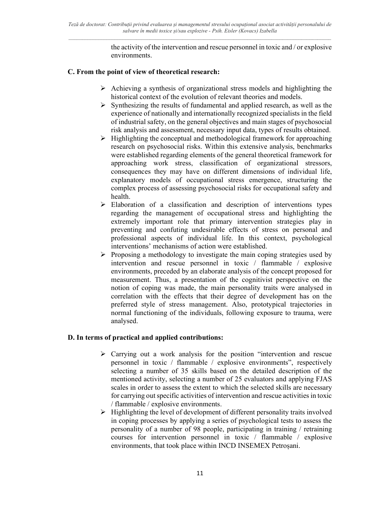the activity of the intervention and rescue personnel in toxic and / or explosive environments.

### C. From the point of view of theoretical research:

- $\triangleright$  Achieving a synthesis of organizational stress models and highlighting the historical context of the evolution of relevant theories and models.
- $\triangleright$  Synthesizing the results of fundamental and applied research, as well as the experience of nationally and internationally recognized specialists in the field of industrial safety, on the general objectives and main stages of psychosocial risk analysis and assessment, necessary input data, types of results obtained.
- $\triangleright$  Highlighting the conceptual and methodological framework for approaching research on psychosocial risks. Within this extensive analysis, benchmarks were established regarding elements of the general theoretical framework for approaching work stress, classification of organizational stressors, consequences they may have on different dimensions of individual life, explanatory models of occupational stress emergence, structuring the complex process of assessing psychosocial risks for occupational safety and health.
- $\triangleright$  Elaboration of a classification and description of interventions types regarding the management of occupational stress and highlighting the extremely important role that primary intervention strategies play in preventing and confuting undesirable effects of stress on personal and professional aspects of individual life. In this context, psychological interventions' mechanisms of action were established.
- $\triangleright$  Proposing a methodology to investigate the main coping strategies used by intervention and rescue personnel in toxic / flammable / explosive environments, preceded by an elaborate analysis of the concept proposed for measurement. Thus, a presentation of the cognitivist perspective on the notion of coping was made, the main personality traits were analysed in correlation with the effects that their degree of development has on the preferred style of stress management. Also, prototypical trajectories in normal functioning of the individuals, following exposure to trauma, were analysed.

### D. In terms of practical and applied contributions:

- $\triangleright$  Carrying out a work analysis for the position "intervention and rescue personnel in toxic / flammable / explosive environments", respectively selecting a number of 35 skills based on the detailed description of the mentioned activity, selecting a number of 25 evaluators and applying FJAS scales in order to assess the extent to which the selected skills are necessary for carrying out specific activities of intervention and rescue activities in toxic / flammable / explosive environments.
- $\triangleright$  Highlighting the level of development of different personality traits involved in coping processes by applying a series of psychological tests to assess the personality of a number of 98 people, participating in training / retraining courses for intervention personnel in toxic / flammable / explosive environments, that took place within INCD INSEMEX Petroșani.